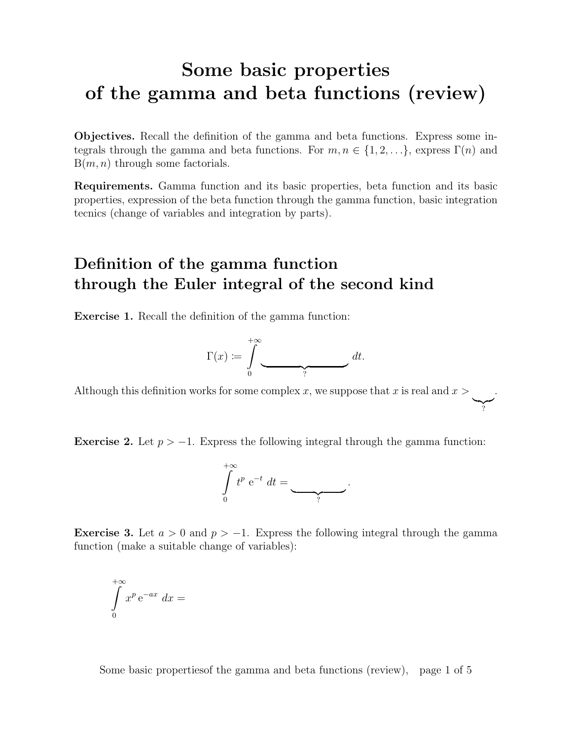## Some basic properties of the gamma and beta functions (review)

Objectives. Recall the definition of the gamma and beta functions. Express some integrals through the gamma and beta functions. For  $m, n \in \{1, 2, \ldots\}$ , express  $\Gamma(n)$  and  $B(m, n)$  through some factorials.

Requirements. Gamma function and its basic properties, beta function and its basic properties, expression of the beta function through the gamma function, basic integration tecnics (change of variables and integration by parts).

### Definition of the gamma function through the Euler integral of the second kind

Exercise 1. Recall the definition of the gamma function:

$$
\Gamma(x) \coloneqq \int\limits_0^{+\infty} \underbrace{\hspace{2cm}}^{ }_? \qquad \qquad dt.
$$

Although this definition works for some complex x, we suppose that x is real and  $x >$  $\sum_{i}$ .

?

Exercise 2. Let  $p > -1$ . Express the following integral through the gamma function:



**Exercise 3.** Let  $a > 0$  and  $p > -1$ . Express the following integral through the gamma function (make a suitable change of variables):

$$
\int\limits_{0}^{+\infty} x^{p} e^{-ax} dx =
$$

Some basic propertiesof the gamma and beta functions (review), page 1 of 5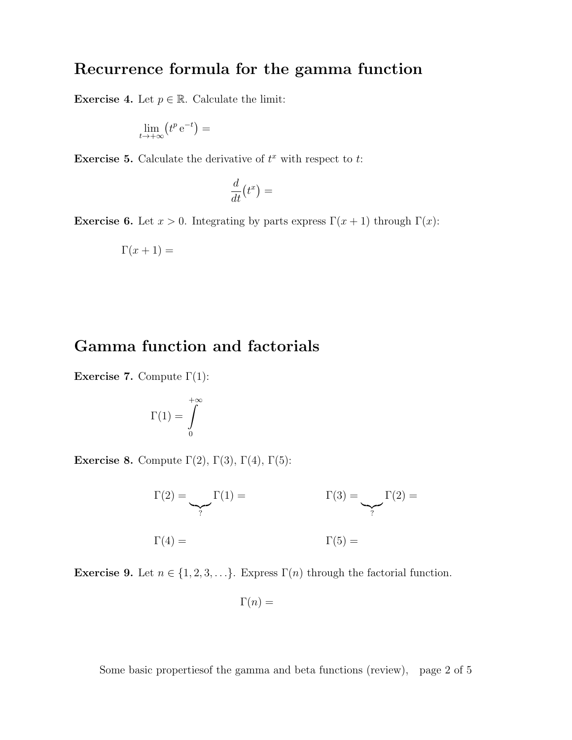#### Recurrence formula for the gamma function

**Exercise 4.** Let  $p \in \mathbb{R}$ . Calculate the limit:

$$
\lim_{t\to+\infty}\left(t^p\,\mathrm{e}^{-t}\right)=
$$

**Exercise 5.** Calculate the derivative of  $t^x$  with respect to  $t$ :

$$
\frac{d}{dt}\bigl(t^x\bigr) =
$$

Exercise 6. Let  $x > 0$ . Integrating by parts express  $\Gamma(x+1)$  through  $\Gamma(x)$ :

$$
\Gamma(x+1) =
$$

#### Gamma function and factorials

Exercise 7. Compute  $\Gamma(1)$ :

$$
\Gamma(1)=\int\limits_0^{+\infty}
$$

Exercise 8. Compute  $\Gamma(2)$ ,  $\Gamma(3)$ ,  $\Gamma(4)$ ,  $\Gamma(5)$ :

 $\Gamma(2) =$  $\sum_{i}$  $\Gamma(1) = \Gamma(3) =$  $\sum_{i}$  $\Gamma(2) =$  $\Gamma(4) = \Gamma(5) =$ 

**Exercise 9.** Let  $n \in \{1, 2, 3, ...\}$ . Express  $\Gamma(n)$  through the factorial function.

$$
\Gamma(n) =
$$

Some basic propertiesof the gamma and beta functions (review), page 2 of 5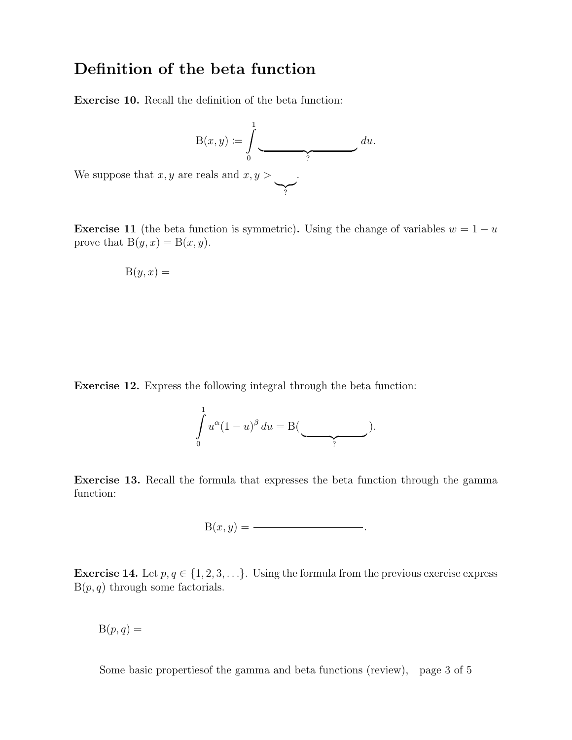#### Definition of the beta function

Exercise 10. Recall the definition of the beta function:

$$
B(x, y) := \int_{0}^{1} \underbrace{du}_{?}
$$
 *et at at at at at at at at at at at at at at at at at at at at at at at at at at at at at at at at at at at at at at at at at at at at at at at at at at at at at at at at at at at at at at at at at at at at at at at at at at at at at at at at at at at at at at at at at at at at at at at at at at at at at at at at*

We suppose that  $x, y$  are

**Exercise 11** (the beta function is symmetric). Using the change of variables  $w = 1 - u$ prove that  $B(y, x) = B(x, y)$ .

 $\sum_{i}$ 

$$
B(y, x) =
$$

Exercise 12. Express the following integral through the beta function:

$$
\int_{0}^{1} u^{\alpha} (1-u)^{\beta} du = B(\underbrace{\qquad}_{?}).
$$

Exercise 13. Recall the formula that expresses the beta function through the gamma function:

B(x, y) = .

**Exercise 14.** Let  $p, q \in \{1, 2, 3, \ldots\}$ . Using the formula from the previous exercise express  $B(p, q)$  through some factorials.

 $B(p, q) =$ 

Some basic propertiesof the gamma and beta functions (review), page 3 of 5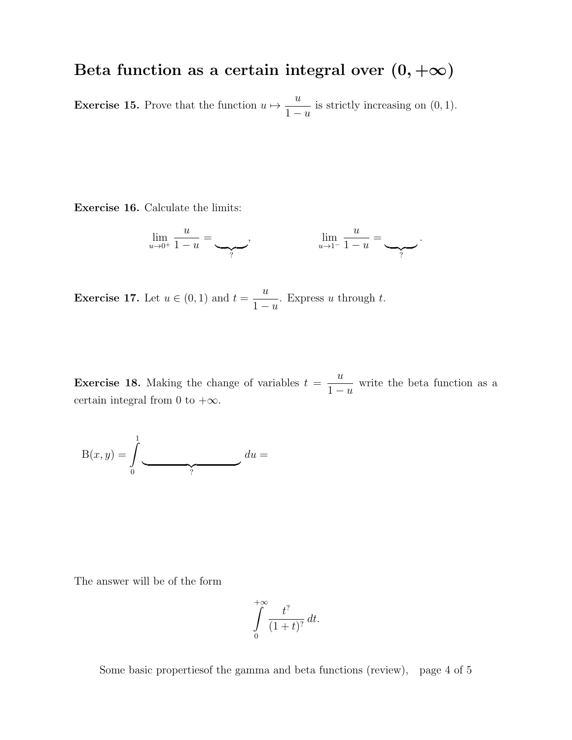# Beta function as a certain integral over  $(0, +\infty)$

**Exercise 15.** Prove that the function  $u \mapsto \frac{u}{1}$  $1 - u$ is strictly increasing on  $(0, 1)$ .

Exercise 16. Calculate the limits:

$$
\lim_{u \to 0^+} \frac{u}{1-u} = \underbrace{\qquad}_{?}, \qquad \lim_{u \to 1^-} \frac{u}{1-u} = \underbrace{\qquad}_{?}.
$$

**Exercise 17.** Let  $u \in (0,1)$  and  $t = \frac{u}{1}$  $1 - u$ . Express  $u$  through  $t$ .

**Exercise 18.** Making the change of variables  $t =$  $\overline{u}$  $1 - u$ write the beta function as a certain integral from 0 to  $+\infty$ .

$$
B(x,y) = \int_{0}^{1} \underbrace{du}_{?} =
$$

The answer will be of the form

$$
\int\limits_{0}^{+\infty}\!\frac{t^?}{(1+t)^?}\,dt.
$$

Some basic propertiesof the gamma and beta functions (review), page 4 of 5